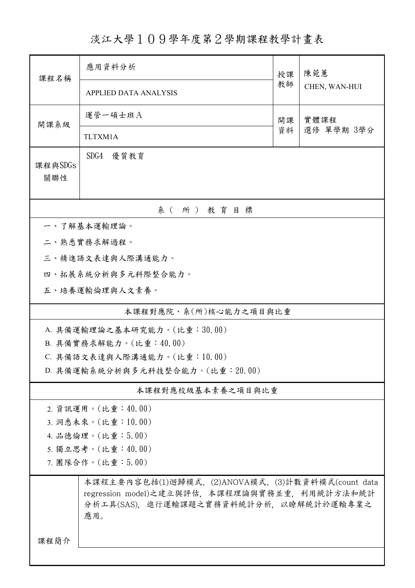## 淡江大學109學年度第2學期課程教學計畫表

| 課程名稱                                                                                                                                             | 應用資料分析                       | 授課 | 陳菀蕙<br>CHEN, WAN-HUI |  |  |  |  |
|--------------------------------------------------------------------------------------------------------------------------------------------------|------------------------------|----|----------------------|--|--|--|--|
|                                                                                                                                                  | <b>APPLIED DATA ANALYSIS</b> | 教師 |                      |  |  |  |  |
| 開課系級                                                                                                                                             | 運管一碩士班A                      | 開課 | 實體課程<br>選修 單學期 3學分   |  |  |  |  |
|                                                                                                                                                  | TLTXM1A                      | 資料 |                      |  |  |  |  |
| 課程與SDGs<br>關聯性                                                                                                                                   | SDG4 優質教育                    |    |                      |  |  |  |  |
| 系(所)教育目標                                                                                                                                         |                              |    |                      |  |  |  |  |
|                                                                                                                                                  | 一、了解基本運輸理論。                  |    |                      |  |  |  |  |
|                                                                                                                                                  | 二、熟悉實務求解過程。                  |    |                      |  |  |  |  |
|                                                                                                                                                  | 三、精進語文表達與人際溝通能力。             |    |                      |  |  |  |  |
|                                                                                                                                                  | 四、拓展系統分析與多元科際整合能力。           |    |                      |  |  |  |  |
|                                                                                                                                                  | 五、培養運輸倫理與人文素養。               |    |                      |  |  |  |  |
| 本課程對應院、系(所)核心能力之項目與比重                                                                                                                            |                              |    |                      |  |  |  |  |
| A. 具備運輸理論之基本研究能力。(比重:30.00)                                                                                                                      |                              |    |                      |  |  |  |  |
| B. 具備實務求解能力。(比重:40.00)                                                                                                                           |                              |    |                      |  |  |  |  |
|                                                                                                                                                  | C. 具備語文表達與人際溝通能力。(比重:10.00)  |    |                      |  |  |  |  |
| D. 具備運輸系統分析與多元科技整合能力。(比重: 20.00)                                                                                                                 |                              |    |                      |  |  |  |  |
|                                                                                                                                                  | 本課程對應校級基本素養之項目與比重            |    |                      |  |  |  |  |
| 2. 資訊運用。(比重:40.00)                                                                                                                               |                              |    |                      |  |  |  |  |
| 3. 洞悉未來。(比重:10.00)                                                                                                                               |                              |    |                      |  |  |  |  |
| 4. 品德倫理。(比重:5.00)                                                                                                                                |                              |    |                      |  |  |  |  |
| 5. 獨立思考。(比重:40.00)                                                                                                                               |                              |    |                      |  |  |  |  |
| 7. 團隊合作。(比重:5.00)                                                                                                                                |                              |    |                      |  |  |  |  |
| 本課程主要內容包括(1)迴歸模式、(2)ANOVA模式、(3)計數資料模式(count data<br>regression model)之建立與評估,本課程理論與實務並重,利用統計方法和統計<br>分析工具(SAS),進行運輸課題之實務資料統計分析,以瞭解統計於運輸專業之<br>應用。 |                              |    |                      |  |  |  |  |
| 課程簡介                                                                                                                                             |                              |    |                      |  |  |  |  |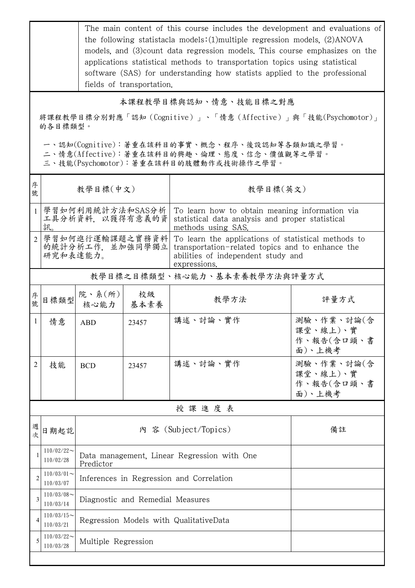The main content of this course includes the development and evaluations of the following statistacla models:(1)multiple regression models, (2)ANOVA models, and (3)count data regression models. This course emphasizes on the applications statistical methods to transportation topics using statistical software (SAS) for understanding how statists applied to the professional fields of transportation.

## 本課程教學目標與認知、情意、技能目標之對應

將課程教學目標分別對應「認知(Cognitive)」、「情意(Affective)」與「技能(Psychomotor)」 的各目標類型。

一、認知(Cognitive):著重在該科目的事實、概念、程序、後設認知等各類知識之學習。

二、情意(Affective):著重在該科目的興趣、倫理、態度、信念、價值觀等之學習。

三、技能(Psychomotor):著重在該科目的肢體動作或技術操作之學習。

| 序<br>號         | 教學目標(中文)                                        |                                                          |            | 教學目標(英文)                                                                                                                                                      |                                                |  |  |
|----------------|-------------------------------------------------|----------------------------------------------------------|------------|---------------------------------------------------------------------------------------------------------------------------------------------------------------|------------------------------------------------|--|--|
| $\mathbf{1}$   | 學習如何利用統計方法和SAS分析<br>工具分析資料, 以獲得有意義的資<br>訊。      |                                                          |            | To learn how to obtain meaning information via<br>statistical data analysis and proper statistical<br>methods using SAS.                                      |                                                |  |  |
| $\overline{2}$ | 學習如何進行運輸課題之實務資料<br>的統計分析工作, 並加強同學獨立<br>研究和表達能力。 |                                                          |            | To learn the applications of statistical methods to<br>transportation-related topics and to enhance the<br>abilities of independent study and<br>expressions. |                                                |  |  |
|                | 教學目標之目標類型、核心能力、基本素養教學方法與評量方式                    |                                                          |            |                                                                                                                                                               |                                                |  |  |
| 序<br>號         | 目標類型                                            | 院、系 $(\kappa)$  <br>核心能力                                 | 校級<br>基本素養 | 教學方法                                                                                                                                                          | 評量方式                                           |  |  |
| 1              | 情意                                              | ABD                                                      | 23457      | 講述、討論、實作                                                                                                                                                      | 測驗、作業、討論(含<br>課堂、線上)、實<br>作、報告(含口頭、書<br>面)、上機考 |  |  |
| 2              | 技能                                              | <b>BCD</b>                                               | 23457      | 講述、討論、實作                                                                                                                                                      | 測驗、作業、討論(含<br>課堂、線上)、實<br>作、報告(含口頭、書<br>面)、上機考 |  |  |
| 授課進度表          |                                                 |                                                          |            |                                                                                                                                                               |                                                |  |  |
| 週<br>欤         | 日期起訖                                            |                                                          |            | 內 容 (Subject/Topics)                                                                                                                                          | 備註                                             |  |  |
|                | $110/02/22$ ~<br>110/02/28                      | Data management, Linear Regression with One<br>Predictor |            |                                                                                                                                                               |                                                |  |  |
|                | $110/03/01$ ~<br>110/03/07                      | Inferences in Regression and Correlation                 |            |                                                                                                                                                               |                                                |  |  |
| 3              | $110/03/08$ ~<br>110/03/14                      | Diagnostic and Remedial Measures                         |            |                                                                                                                                                               |                                                |  |  |
| 4              | $110/03/15$ ~<br>110/03/21                      | Regression Models with QualitativeData                   |            |                                                                                                                                                               |                                                |  |  |
| 5              | $110/03/22$ ~<br>110/03/28                      | Multiple Regression                                      |            |                                                                                                                                                               |                                                |  |  |
|                |                                                 |                                                          |            |                                                                                                                                                               |                                                |  |  |